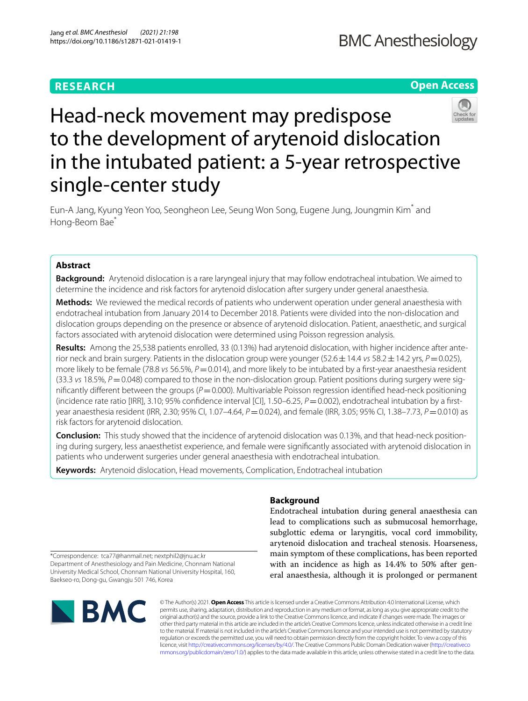# **RESEARCH**

# **Open Access**



# Head-neck movement may predispose to the development of arytenoid dislocation in the intubated patient: a 5-year retrospective single-center study

Eun‑A Jang, Kyung Yeon Yoo, Seongheon Lee, Seung Won Song, Eugene Jung, Joungmin Kim\* and Hong-Beom Bae<sup>\*</sup>

# **Abstract**

**Background:** Arytenoid dislocation is a rare laryngeal injury that may follow endotracheal intubation. We aimed to determine the incidence and risk factors for arytenoid dislocation after surgery under general anaesthesia.

**Methods:** We reviewed the medical records of patients who underwent operation under general anaesthesia with endotracheal intubation from January 2014 to December 2018. Patients were divided into the non-dislocation and dislocation groups depending on the presence or absence of arytenoid dislocation. Patient, anaesthetic, and surgical factors associated with arytenoid dislocation were determined using Poisson regression analysis.

**Results:** Among the 25,538 patients enrolled, 33 (0.13%) had arytenoid dislocation, with higher incidence after ante‑ rior neck and brain surgery. Patients in the dislocation group were younger (52.6±14.4 *vs* 58.2±14.2 yrs, *P*=0.025), more likely to be female (78.8 *vs* 56.5%,  $P = 0.014$ ), and more likely to be intubated by a first-year anaesthesia resident (33.3 vs 18.5%, P = 0.048) compared to those in the non-dislocation group. Patient positions during surgery were significantly different between the groups (P=0.000). Multivariable Poisson regression identified head-neck positioning (incidence rate ratio [IRR], 3.10; 95% confidence interval [CI], 1.50–6.25,  $P = 0.002$ ), endotracheal intubation by a firstyear anaesthesia resident (IRR, 2.30; 95% CI, 1.07–4.64, P = 0.024), and female (IRR, 3.05; 95% CI, 1.38–7.73, P = 0.010) as risk factors for arytenoid dislocation.

**Conclusion:** This study showed that the incidence of arytenoid dislocation was 0.13%, and that head-neck position‑ ing during surgery, less anaesthetist experience, and female were signifcantly associated with arytenoid dislocation in patients who underwent surgeries under general anaesthesia with endotracheal intubation.

**Keywords:** Arytenoid dislocation, Head movements, Complication, Endotracheal intubation

# **Background**

Endotracheal intubation during general anaesthesia can lead to complications such as submucosal hemorrhage, subglottic edema or laryngitis, vocal cord immobility, arytenoid dislocation and tracheal stenosis. Hoarseness, main symptom of these complications, has been reported with an incidence as high as 14.4% to 50% after general anaesthesia, although it is prolonged or permanent

\*Correspondence: tca77@hanmail.net; nextphil2@jnu.ac.kr Department of Anesthesiology and Pain Medicine, Chonnam National University Medical School, Chonnam National University Hospital, 160, Baekseo‑ro, Dong‑gu, Gwangju 501 746, Korea



© The Author(s) 2021. **Open Access** This article is licensed under a Creative Commons Attribution 4.0 International License, which permits use, sharing, adaptation, distribution and reproduction in any medium or format, as long as you give appropriate credit to the original author(s) and the source, provide a link to the Creative Commons licence, and indicate if changes were made. The images or other third party material in this article are included in the article's Creative Commons licence, unless indicated otherwise in a credit line to the material. If material is not included in the article's Creative Commons licence and your intended use is not permitted by statutory regulation or exceeds the permitted use, you will need to obtain permission directly from the copyright holder. To view a copy of this licence, visit [http://creativecommons.org/licenses/by/4.0/.](http://creativecommons.org/licenses/by/4.0/) The Creative Commons Public Domain Dedication waiver ([http://creativeco](http://creativecommons.org/publicdomain/zero/1.0/) [mmons.org/publicdomain/zero/1.0/](http://creativecommons.org/publicdomain/zero/1.0/)) applies to the data made available in this article, unless otherwise stated in a credit line to the data.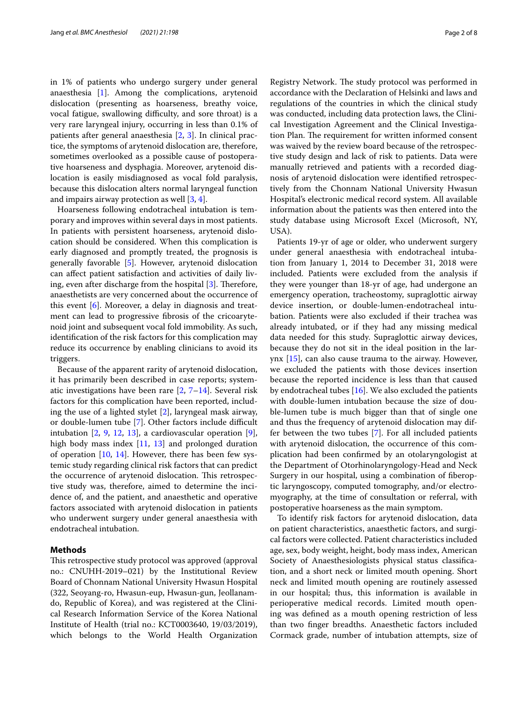in 1% of patients who undergo surgery under general anaesthesia [[1\]](#page-7-0). Among the complications, arytenoid dislocation (presenting as hoarseness, breathy voice, vocal fatigue, swallowing difficulty, and sore throat) is a very rare laryngeal injury, occurring in less than 0.1% of patients after general anaesthesia [[2,](#page-7-1) [3](#page-7-2)]. In clinical practice, the symptoms of arytenoid dislocation are, therefore, sometimes overlooked as a possible cause of postoperative hoarseness and dysphagia. Moreover, arytenoid dislocation is easily misdiagnosed as vocal fold paralysis, because this dislocation alters normal laryngeal function and impairs airway protection as well [\[3](#page-7-2), [4\]](#page-7-3).

Hoarseness following endotracheal intubation is temporary and improves within several days in most patients. In patients with persistent hoarseness, arytenoid dislocation should be considered. When this complication is early diagnosed and promptly treated, the prognosis is generally favorable [\[5](#page-7-4)]. However, arytenoid dislocation can afect patient satisfaction and activities of daily living, even after discharge from the hospital  $[3]$  $[3]$ . Therefore, anaesthetists are very concerned about the occurrence of this event [\[6](#page-7-5)]. Moreover, a delay in diagnosis and treatment can lead to progressive fbrosis of the cricoarytenoid joint and subsequent vocal fold immobility. As such, identifcation of the risk factors for this complication may reduce its occurrence by enabling clinicians to avoid its triggers.

Because of the apparent rarity of arytenoid dislocation, it has primarily been described in case reports; systematic investigations have been rare  $[2, 7-14]$  $[2, 7-14]$  $[2, 7-14]$ . Several risk factors for this complication have been reported, including the use of a lighted stylet [\[2](#page-7-1)], laryngeal mask airway, or double-lumen tube [[7\]](#page-7-6). Other factors include difficult intubation  $[2, 9, 12, 13]$  $[2, 9, 12, 13]$  $[2, 9, 12, 13]$  $[2, 9, 12, 13]$  $[2, 9, 12, 13]$  $[2, 9, 12, 13]$  $[2, 9, 12, 13]$  $[2, 9, 12, 13]$ , a cardiovascular operation  $[9]$  $[9]$ , high body mass index [\[11](#page-7-11), [13](#page-7-10)] and prolonged duration of operation [[10,](#page-7-12) [14](#page-7-7)]. However, there has been few systemic study regarding clinical risk factors that can predict the occurrence of arytenoid dislocation. This retrospective study was, therefore, aimed to determine the incidence of, and the patient, and anaesthetic and operative factors associated with arytenoid dislocation in patients who underwent surgery under general anaesthesia with endotracheal intubation.

## **Methods**

This retrospective study protocol was approved (approval no.: CNUHH-2019–021) by the Institutional Review Board of Chonnam National University Hwasun Hospital (322, Seoyang-ro, Hwasun-eup, Hwasun-gun, Jeollanamdo, Republic of Korea), and was registered at the Clinical Research Information Service of the Korea National Institute of Health (trial no.: KCT0003640, 19/03/2019), which belongs to the World Health Organization

Registry Network. The study protocol was performed in accordance with the Declaration of Helsinki and laws and regulations of the countries in which the clinical study was conducted, including data protection laws, the Clinical Investigation Agreement and the Clinical Investigation Plan. The requirement for written informed consent was waived by the review board because of the retrospective study design and lack of risk to patients. Data were manually retrieved and patients with a recorded diagnosis of arytenoid dislocation were identifed retrospectively from the Chonnam National University Hwasun Hospital's electronic medical record system. All available information about the patients was then entered into the study database using Microsoft Excel (Microsoft, NY, USA).

Patients 19-yr of age or older, who underwent surgery under general anaesthesia with endotracheal intubation from January 1, 2014 to December 31, 2018 were included. Patients were excluded from the analysis if they were younger than 18-yr of age, had undergone an emergency operation, tracheostomy, supraglottic airway device insertion, or double-lumen-endotracheal intubation. Patients were also excluded if their trachea was already intubated, or if they had any missing medical data needed for this study. Supraglottic airway devices, because they do not sit in the ideal position in the larynx [\[15\]](#page-7-13), can also cause trauma to the airway. However, we excluded the patients with those devices insertion because the reported incidence is less than that caused by endotracheal tubes [[16\]](#page-7-14). We also excluded the patients with double-lumen intubation because the size of double-lumen tube is much bigger than that of single one and thus the frequency of arytenoid dislocation may differ between the two tubes [\[7](#page-7-6)]. For all included patients with arytenoid dislocation, the occurrence of this complication had been confrmed by an otolaryngologist at the Department of Otorhinolaryngology-Head and Neck Surgery in our hospital, using a combination of fberoptic laryngoscopy, computed tomography, and/or electromyography, at the time of consultation or referral, with postoperative hoarseness as the main symptom.

To identify risk factors for arytenoid dislocation, data on patient characteristics, anaesthetic factors, and surgical factors were collected. Patient characteristics included age, sex, body weight, height, body mass index, American Society of Anaesthesiologists physical status classifcation, and a short neck or limited mouth opening. Short neck and limited mouth opening are routinely assessed in our hospital; thus, this information is available in perioperative medical records. Limited mouth opening was defned as a mouth opening restriction of less than two fnger breadths. Anaesthetic factors included Cormack grade, number of intubation attempts, size of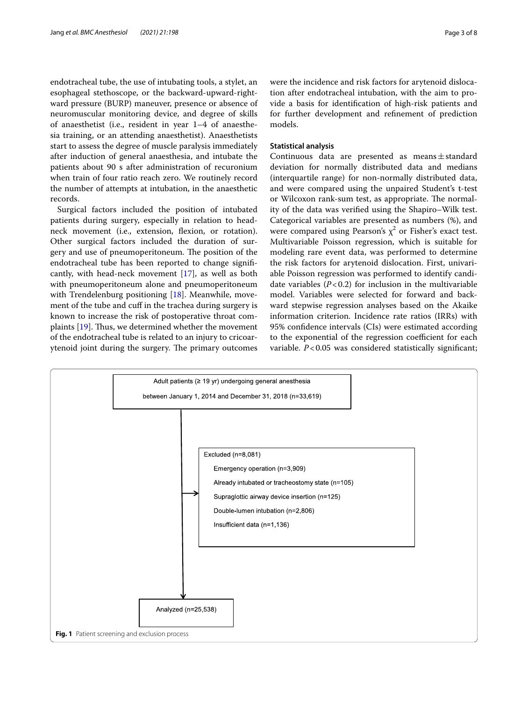endotracheal tube, the use of intubating tools, a stylet, an esophageal stethoscope, or the backward-upward-rightward pressure (BURP) maneuver, presence or absence of neuromuscular monitoring device, and degree of skills of anaesthetist (i.e., resident in year 1–4 of anaesthesia training, or an attending anaesthetist). Anaesthetists start to assess the degree of muscle paralysis immediately after induction of general anaesthesia, and intubate the patients about 90 s after administration of recuronium when train of four ratio reach zero. We routinely record the number of attempts at intubation, in the anaesthetic records.

Surgical factors included the position of intubated patients during surgery, especially in relation to headneck movement (i.e., extension, fexion, or rotation). Other surgical factors included the duration of surgery and use of pneumoperitoneum. The position of the endotracheal tube has been reported to change signifcantly, with head-neck movement [[17\]](#page-7-15), as well as both with pneumoperitoneum alone and pneumoperitoneum with Trendelenburg positioning [[18\]](#page-7-16). Meanwhile, movement of the tube and cuf in the trachea during surgery is known to increase the risk of postoperative throat complaints  $[19]$  $[19]$ . Thus, we determined whether the movement of the endotracheal tube is related to an injury to cricoarytenoid joint during the surgery. The primary outcomes were the incidence and risk factors for arytenoid dislocation after endotracheal intubation, with the aim to provide a basis for identifcation of high-risk patients and for further development and refnement of prediction models.

#### **Statistical analysis**

Continuous data are presented as means±standard deviation for normally distributed data and medians (interquartile range) for non-normally distributed data, and were compared using the unpaired Student's t-test or Wilcoxon rank-sum test, as appropriate. The normality of the data was verifed using the Shapiro–Wilk test. Categorical variables are presented as numbers (%), and were compared using Pearson's  $\chi^2$  or Fisher's exact test. Multivariable Poisson regression, which is suitable for modeling rare event data, was performed to determine the risk factors for arytenoid dislocation. First, univariable Poisson regression was performed to identify candidate variables  $(P<0.2)$  for inclusion in the multivariable model. Variables were selected for forward and backward stepwise regression analyses based on the Akaike information criterion. Incidence rate ratios (IRRs) with 95% confdence intervals (CIs) were estimated according to the exponential of the regression coefficient for each variable. *P*<0.05 was considered statistically significant;

<span id="page-2-0"></span>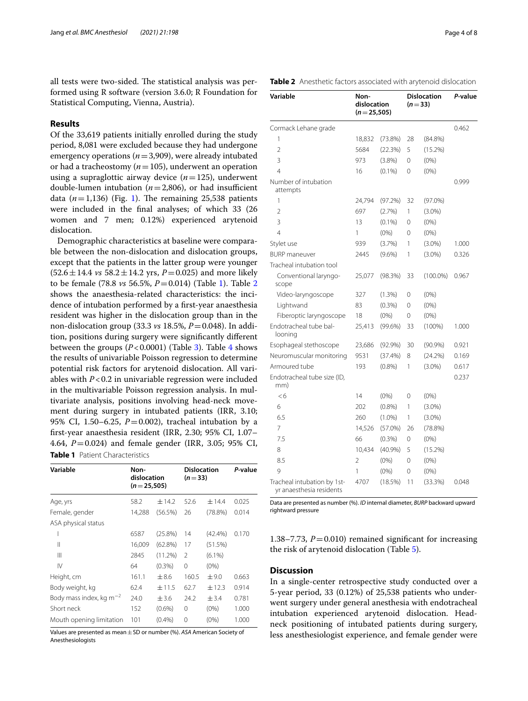all tests were two-sided. The statistical analysis was performed using R software (version 3.6.0; R Foundation for Statistical Computing, Vienna, Austria).

# **Results**

Of the 33,619 patients initially enrolled during the study period, 8,081 were excluded because they had undergone emergency operations (*n*=3,909), were already intubated or had a tracheostomy (*n*=105), underwent an operation using a supraglottic airway device  $(n=125)$ , underwent double-lumen intubation  $(n=2,806)$ , or had insufficient data  $(n=1,136)$  (Fig. [1\)](#page-2-0). The remaining 25,538 patients were included in the fnal analyses; of which 33 (26 women and 7 men; 0.12%) experienced arytenoid dislocation.

Demographic characteristics at baseline were comparable between the non-dislocation and dislocation groups, except that the patients in the latter group were younger  $(52.6 \pm 14.4 \text{ vs } 58.2 \pm 14.2 \text{ yrs}, P=0.025)$  and more likely to be female (78.8 *vs* 56.5%, *P*=0.014) (Table [1\)](#page-3-0). Table [2](#page-3-1) shows the anaesthesia-related characteristics: the incidence of intubation performed by a frst-year anaesthesia resident was higher in the dislocation group than in the non-dislocation group (33.3 *vs* 18.5%, *P*=0.048). In addition, positions during surgery were signifcantly diferent between the groups  $(P<0.0001)$  (Table [3](#page-4-0)). Table [4](#page-5-0) shows the results of univariable Poisson regression to determine potential risk factors for arytenoid dislocation. All variables with *P*<0.2 in univariable regression were included in the multivariable Poisson regression analysis. In multivariate analysis, positions involving head-neck movement during surgery in intubated patients (IRR, 3.10; 95% CI, 1.50–6.25, *P*=0.002), tracheal intubation by a frst-year anaesthesia resident (IRR, 2.30; 95% CI, 1.07– 4.64, *P*=0.024) and female gender (IRR, 3.05; 95% CI, **Table 1** Patient Characteristics

<span id="page-3-0"></span>

| Variable                            | Non-<br>dislocation<br>$(n=25,505)$ |            | <b>Dislocation</b><br>$(n=33)$ |            | P-value |  |
|-------------------------------------|-------------------------------------|------------|--------------------------------|------------|---------|--|
| Age, yrs                            | 58.2                                | ±14.2      | 52.6                           | $+14.4$    | 0.025   |  |
| Female, gender                      | 14,288                              | (56.5%)    | 26                             | (78.8%)    | 0.014   |  |
| ASA physical status                 |                                     |            |                                |            |         |  |
|                                     | 6587                                | (25.8%)    | 14                             | $(42.4\%)$ | 0.170   |  |
| $\mathsf{I}$                        | 16,009                              | $(62.8\%)$ | 17                             | (51.5%)    |         |  |
| Ш                                   | 2845                                | (11.2%)    | 2                              | $(6.1\%)$  |         |  |
| IV                                  | 64                                  | $(0.3\%)$  | $\Omega$                       | $(0\%)$    |         |  |
| Height, cm                          | 161.1                               | $\pm 8.6$  | 160.5                          | ±9.0       | 0.663   |  |
| Body weight, kg                     | 62.4                                | ±11.5      | 62.7                           | ± 12.3     | 0.914   |  |
| Body mass index, kg m <sup>-2</sup> | 24.0                                | ±3.6       | 24.2                           | ± 3.4      | 0.781   |  |
| Short neck                          | 152                                 | $(0.6\%)$  | 0                              | $(0\%)$    | 1.000   |  |
| Mouth opening limitation            | 101                                 | $(0.4\%)$  | 0                              | $(0\%)$    | 1.000   |  |

Values are presented as mean±SD or number (%). *ASA* American Society of Anesthesiologists

<span id="page-3-1"></span>**Table 2** Anesthetic factors associated with arytenoid dislocation

| Variable                                                | Non-<br>dislocation<br>$(n=25,505)$ |            | <b>Dislocation</b><br>$(n=33)$ |             | P-value |
|---------------------------------------------------------|-------------------------------------|------------|--------------------------------|-------------|---------|
| Cormack Lehane grade                                    |                                     |            |                                |             | 0.462   |
| 1                                                       | 18,832                              | $(73.8\%)$ | 28                             | $(84.8\%)$  |         |
| $\overline{2}$                                          | 5684                                | (22.3%)    | 5                              | $(15.2\%)$  |         |
| 3                                                       | 973                                 | $(3.8\%)$  | $\Omega$                       | $(0\%)$     |         |
| $\overline{4}$                                          | 16                                  | $(0.1\%)$  | 0                              | $(0\%)$     |         |
| Number of intubation<br>attempts                        |                                     |            |                                |             | 0.999   |
| 1                                                       | 24,794                              | (97.2%)    | 32                             | $(97.0\%)$  |         |
| $\overline{\mathcal{L}}$                                | 697                                 | (2.7%)     | 1                              | $(3.0\%)$   |         |
| 3                                                       | 13                                  | $(0.1\%)$  | 0                              | $(0\%)$     |         |
| $\overline{4}$                                          | 1                                   | (0% )      | $\Omega$                       | $(0\%)$     |         |
| Stylet use                                              | 939                                 | (3.7%)     | 1                              | $(3.0\%)$   | 1.000   |
| <b>BURP</b> maneuver                                    | 2445                                | $(9.6\%)$  | 1                              | $(3.0\%)$   | 0.326   |
| Tracheal intubation tool                                |                                     |            |                                |             |         |
| Conventional laryngo-<br>scope                          | 25,077                              | (98.3%)    | 33                             | $(100.0\%)$ | 0.967   |
| Video-laryngoscope                                      | 327                                 | (1.3%)     | $\Omega$                       | $(0\%)$     |         |
| Lightwand                                               | 83                                  | (0.3%)     | $\Omega$                       | $(0\%)$     |         |
| Fiberoptic laryngoscope                                 | 18                                  | $(0\%)$    | 0                              | $(0\%)$     |         |
| Endotracheal tube bal-<br>looning                       | 25,413                              | $(99.6\%)$ | 33                             | $(100\%)$   | 1.000   |
| Esophageal stethoscope                                  | 23,686                              | $(92.9\%)$ | 30                             | $(90.9\%)$  | 0.921   |
| Neuromuscular monitoring                                | 9531                                | (37.4%)    | 8                              | (24.2%)     | 0.169   |
| Armoured tube                                           | 193                                 | (0.8%)     | 1                              | $(3.0\%)$   | 0.617   |
| Endotracheal tube size (ID,<br>mm)                      |                                     |            |                                |             | 0.237   |
| <6                                                      | 14                                  | $(0\%)$    | 0                              | $(0\%)$     |         |
| 6                                                       | 202                                 | $(0.8\%)$  | 1                              | $(3.0\%)$   |         |
| 6.5                                                     | 260                                 | $(1.0\%)$  | 1                              | $(3.0\%)$   |         |
| 7                                                       | 14,526                              | (57.0%)    | 26                             | (78.8%)     |         |
| 7.5                                                     | 66                                  | (0.3%)     | 0                              | $(0\%)$     |         |
| 8                                                       | 10,434                              | (40.9%     | 5                              | $(15.2\%)$  |         |
| 8.5                                                     | $\overline{2}$                      | $(0\%)$    | 0                              | $(0\%)$     |         |
| 9                                                       | 1                                   | (0% )      | 0                              | $(0\%)$     |         |
| Tracheal intubation by 1st-<br>yr anaesthesia residents | 4707                                | (18.5%)    | 11                             | (33.3%)     | 0.048   |

Data are presented as number (%). *ID* internal diameter, *BURP* backward upward rightward pressure

1.38–7.73,  $P = 0.010$ ) remained significant for increasing the risk of arytenoid dislocation (Table [5\)](#page-6-0).

# **Discussion**

In a single-center retrospective study conducted over a 5-year period, 33 (0.12%) of 25,538 patients who underwent surgery under general anesthesia with endotracheal intubation experienced arytenoid dislocation. Headneck positioning of intubated patients during surgery, less anesthesiologist experience, and female gender were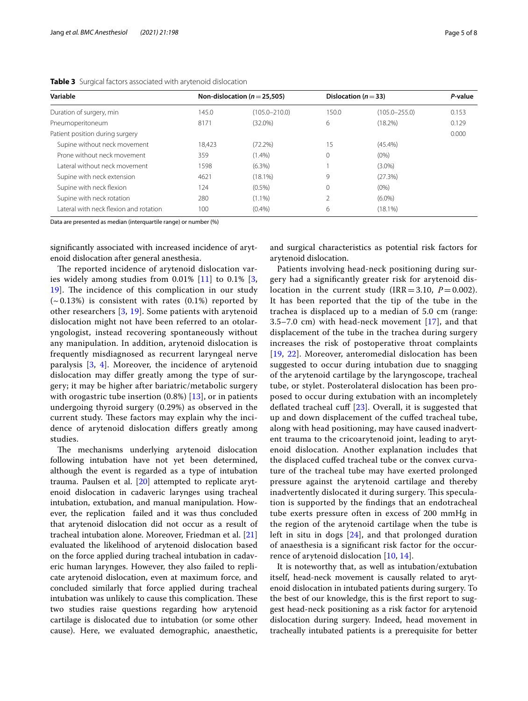| Variable                               |        | Non-dislocation ( $n = 25,505$ ) |              | Dislocation ( $n = 33$ ) |       |
|----------------------------------------|--------|----------------------------------|--------------|--------------------------|-------|
| Duration of surgery, min               | 145.0  | $(105.0 - 210.0)$                | 150.0        | $(105.0 - 255.0)$        | 0.153 |
| Pneumoperitoneum                       | 8171   | $(32.0\%)$                       | 6            | $(18.2\%)$               | 0.129 |
| Patient position during surgery        |        |                                  |              |                          | 0.000 |
| Supine without neck movement           | 18.423 | (72.2%)                          | 15           | $(45.4\%)$               |       |
| Prone without neck movement            | 359    | $(1.4\%)$                        | 0            | $(0\%)$                  |       |
| Lateral without neck movement          | 1598   | $(6.3\%)$                        |              | $(3.0\%)$                |       |
| Supine with neck extension             | 4621   | $(18.1\%)$                       | 9            | (27.3%)                  |       |
| Supine with neck flexion               | 124    | $(0.5\%)$                        | $\mathbf{0}$ | $(0\%)$                  |       |
| Supine with neck rotation              | 280    | $(1.1\%)$                        |              | $(6.0\%)$                |       |
| Lateral with neck flexion and rotation | 100    | (0.4% )                          | 6            | $(18.1\%)$               |       |

<span id="page-4-0"></span>**Table 3** Surgical factors associated with arytenoid dislocation

Data are presented as median (interquartile range) or number (%)

signifcantly associated with increased incidence of arytenoid dislocation after general anesthesia.

The reported incidence of arytenoid dislocation varies widely among studies from  $0.01\%$  [\[11](#page-7-11)] to  $0.1\%$  [\[3](#page-7-2), [19\]](#page-7-17). The incidence of this complication in our study  $(-0.13\%)$  is consistent with rates  $(0.1\%)$  reported by other researchers [\[3,](#page-7-2) [19\]](#page-7-17). Some patients with arytenoid dislocation might not have been referred to an otolaryngologist, instead recovering spontaneously without any manipulation. In addition, arytenoid dislocation is frequently misdiagnosed as recurrent laryngeal nerve paralysis [[3,](#page-7-2) [4\]](#page-7-3). Moreover, the incidence of arytenoid dislocation may difer greatly among the type of surgery; it may be higher after bariatric/metabolic surgery with orogastric tube insertion  $(0.8\%)$  [\[13\]](#page-7-10), or in patients undergoing thyroid surgery (0.29%) as observed in the current study. These factors may explain why the incidence of arytenoid dislocation difers greatly among studies.

The mechanisms underlying arytenoid dislocation following intubation have not yet been determined, although the event is regarded as a type of intubation trauma. Paulsen et al. [\[20](#page-7-18)] attempted to replicate arytenoid dislocation in cadaveric larynges using tracheal intubation, extubation, and manual manipulation. However, the replication failed and it was thus concluded that arytenoid dislocation did not occur as a result of tracheal intubation alone. Moreover, Friedman et al. [[21](#page-7-19)] evaluated the likelihood of arytenoid dislocation based on the force applied during tracheal intubation in cadaveric human larynges. However, they also failed to replicate arytenoid dislocation, even at maximum force, and concluded similarly that force applied during tracheal intubation was unlikely to cause this complication. These two studies raise questions regarding how arytenoid cartilage is dislocated due to intubation (or some other cause). Here, we evaluated demographic, anaesthetic, and surgical characteristics as potential risk factors for arytenoid dislocation.

Patients involving head-neck positioning during surgery had a signifcantly greater risk for arytenoid dislocation in the current study  $(IRR = 3.10, P = 0.002)$ . It has been reported that the tip of the tube in the trachea is displaced up to a median of 5.0 cm (range: 3.5–7.0 cm) with head-neck movement  $[17]$  $[17]$ , and that displacement of the tube in the trachea during surgery increases the risk of postoperative throat complaints [[19](#page-7-17), [22](#page-7-20)]. Moreover, anteromedial dislocation has been suggested to occur during intubation due to snagging of the arytenoid cartilage by the laryngoscope, tracheal tube, or stylet. Posterolateral dislocation has been proposed to occur during extubation with an incompletely deflated tracheal cuff [[23\]](#page-7-21). Overall, it is suggested that up and down displacement of the cufed tracheal tube, along with head positioning, may have caused inadvertent trauma to the cricoarytenoid joint, leading to arytenoid dislocation. Another explanation includes that the displaced cufed tracheal tube or the convex curvature of the tracheal tube may have exerted prolonged pressure against the arytenoid cartilage and thereby inadvertently dislocated it during surgery. This speculation is supported by the fndings that an endotracheal tube exerts pressure often in excess of 200 mmHg in the region of the arytenoid cartilage when the tube is left in situ in dogs  $[24]$  $[24]$ , and that prolonged duration of anaesthesia is a signifcant risk factor for the occurrence of arytenoid dislocation [\[10](#page-7-12), [14](#page-7-7)].

It is noteworthy that, as well as intubation/extubation itself, head-neck movement is causally related to arytenoid dislocation in intubated patients during surgery. To the best of our knowledge, this is the frst report to suggest head-neck positioning as a risk factor for arytenoid dislocation during surgery. Indeed, head movement in tracheally intubated patients is a prerequisite for better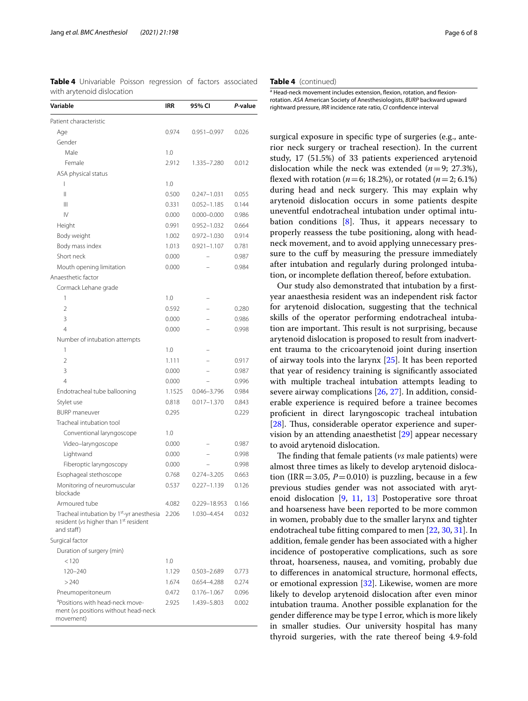| Variable                                                                                                     | IRR    | 95% CI          | P-value |
|--------------------------------------------------------------------------------------------------------------|--------|-----------------|---------|
| Patient characteristic                                                                                       |        |                 |         |
| Age                                                                                                          | 0.974  | $0.951 - 0.997$ | 0.026   |
| Gender                                                                                                       |        |                 |         |
| Male                                                                                                         | 1.0    |                 |         |
| Female                                                                                                       | 2.912  | 1.335-7.280     | 0.012   |
| ASA physical status                                                                                          |        |                 |         |
| ı                                                                                                            | 1.0    |                 |         |
| $\mathsf{II}$                                                                                                | 0.500  | $0.247 - 1.031$ | 0.055   |
| Ш                                                                                                            | 0.331  | $0.052 - 1.185$ | 0.144   |
| $\mathsf{IV}$                                                                                                | 0.000  | $0.000 - 0.000$ | 0.986   |
| Height                                                                                                       | 0.991  | $0.952 - 1.032$ | 0.664   |
| Body weight                                                                                                  | 1.002  | $0.972 - 1.030$ | 0.914   |
| Body mass index                                                                                              | 1.013  | $0.921 - 1.107$ | 0.781   |
| Short neck                                                                                                   | 0.000  |                 | 0.987   |
| Mouth opening limitation                                                                                     | 0.000  |                 | 0.984   |
| Anaesthetic factor                                                                                           |        |                 |         |
| Cormack Lehane grade                                                                                         |        |                 |         |
| 1                                                                                                            | 1.0    |                 |         |
| $\overline{\phantom{a}}$                                                                                     | 0.592  |                 | 0.280   |
| 3                                                                                                            | 0.000  |                 | 0.986   |
| $\overline{4}$                                                                                               | 0.000  |                 | 0.998   |
| Number of intubation attempts                                                                                |        |                 |         |
| 1                                                                                                            | 1.0    |                 |         |
| $\overline{\phantom{a}}$                                                                                     | 1.111  |                 | 0.917   |
| 3                                                                                                            | 0.000  |                 | 0.987   |
| 4                                                                                                            | 0.000  |                 | 0.996   |
| Endotracheal tube ballooning                                                                                 | 1.1525 | $0.046 - 3.796$ | 0.984   |
| Stylet use                                                                                                   | 0.818  | $0.017 - 1.370$ | 0.843   |
| <b>BURP</b> maneuver                                                                                         | 0.295  |                 | 0.229   |
| Tracheal intubation tool                                                                                     |        |                 |         |
| Conventional laryngoscope                                                                                    | 1.0    |                 |         |
| Video-laryngoscope                                                                                           | 0.000  |                 | 0.987   |
| Lightwand                                                                                                    | 0.000  |                 | 0.998   |
| Fiberoptic laryngoscopy                                                                                      | 0.000  |                 | 0.998   |
| Esophageal stethoscope                                                                                       | 0.768  | 0.274-3.205     | 0.663   |
| Monitoring of neuromuscular<br>blockade                                                                      | 0.537  | $0.227 - 1.139$ | 0.126   |
| Armoured tube                                                                                                | 4.082  | 0.229-18.953    | 0.166   |
| Tracheal intubation by 1 <sup>st</sup> -yr anesthesia<br>resident (vs higher than 1st resident<br>and staff) | 2.206  | 1.030-4.454     | 0.032   |
| Surgical factor                                                                                              |        |                 |         |
| Duration of surgery (min)                                                                                    |        |                 |         |
| < 120                                                                                                        | 1.0    |                 |         |
| 120-240                                                                                                      | 1.129  | 0.503-2.689     | 0.773   |
| >240                                                                                                         | 1.674  | 0.654-4.288     | 0.274   |
| Pneumoperitoneum                                                                                             | 0.472  | $0.176 - 1.067$ | 0.096   |
| <sup>a</sup> Positions with head-neck move-<br>ment (vs positions without head-neck<br>movement)             | 2.925  | 1.439-5.803     | 0.002   |

<span id="page-5-0"></span>**Table 4** Univariable Poisson regression of factors associated with arytenoid dislocation

#### **Table 4** (continued)

a Head-neck movement includes extension, flexion, rotation, and flexionrotation. *ASA* American Society of Anesthesiologists, *BURP* backward upward rightward pressure, *IRR* incidence rate ratio, *CI* confdence interval

surgical exposure in specifc type of surgeries (e.g., anterior neck surgery or tracheal resection). In the current study, 17 (51.5%) of 33 patients experienced arytenoid dislocation while the neck was extended  $(n=9; 27.3\%)$ , flexed with rotation ( $n=6$ ; 18.2%), or rotated ( $n=2$ ; 6.1%) during head and neck surgery. This may explain why arytenoid dislocation occurs in some patients despite uneventful endotracheal intubation under optimal intubation conditions  $[8]$  $[8]$ . Thus, it appears necessary to properly reassess the tube positioning, along with headneck movement, and to avoid applying unnecessary pressure to the cuff by measuring the pressure immediately after intubation and regularly during prolonged intubation, or incomplete defation thereof, before extubation.

Our study also demonstrated that intubation by a frstyear anaesthesia resident was an independent risk factor for arytenoid dislocation, suggesting that the technical skills of the operator performing endotracheal intubation are important. This result is not surprising, because arytenoid dislocation is proposed to result from inadvertent trauma to the cricoarytenoid joint during insertion of airway tools into the larynx [[25\]](#page-7-24). It has been reported that year of residency training is signifcantly associated with multiple tracheal intubation attempts leading to severe airway complications [[26](#page-7-25), [27](#page-7-26)]. In addition, considerable experience is required before a trainee becomes profcient in direct laryngoscopic tracheal intubation [ $28$ ]. Thus, considerable operator experience and supervision by an attending anaesthetist [[29\]](#page-7-28) appear necessary to avoid arytenoid dislocation.

The finding that female patients (*vs* male patients) were almost three times as likely to develop arytenoid dislocation (IRR = 3.05,  $P = 0.010$ ) is puzzling, because in a few previous studies gender was not associated with arytenoid dislocation [\[9](#page-7-8), [11,](#page-7-11) [13\]](#page-7-10) Postoperative sore throat and hoarseness have been reported to be more common in women, probably due to the smaller larynx and tighter endotracheal tube ftting compared to men [\[22,](#page-7-20) [30](#page-7-29), [31](#page-7-30)]. In addition, female gender has been associated with a higher incidence of postoperative complications, such as sore throat, hoarseness, nausea, and vomiting, probably due to diferences in anatomical structure, hormonal efects, or emotional expression [[32\]](#page-7-31). Likewise, women are more likely to develop arytenoid dislocation after even minor intubation trauma. Another possible explanation for the gender diference may be type I error, which is more likely in smaller studies. Our university hospital has many thyroid surgeries, with the rate thereof being 4.9-fold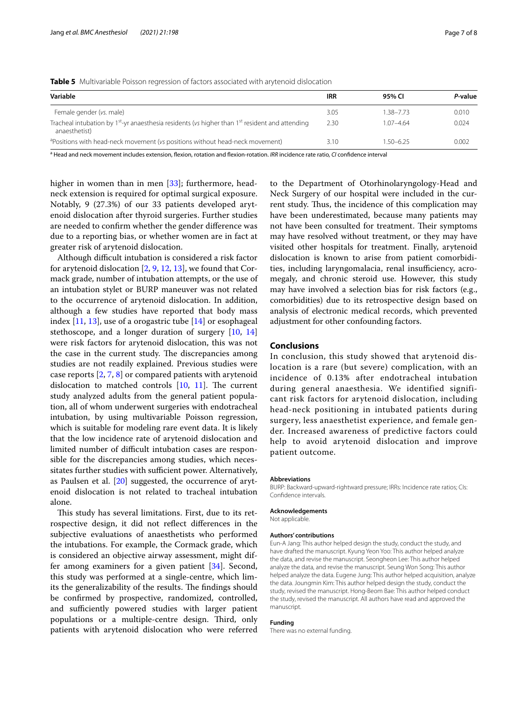<span id="page-6-0"></span>

| Variable                                                                                                                   | <b>IRR</b> | 95% CI        | P-value |
|----------------------------------------------------------------------------------------------------------------------------|------------|---------------|---------|
| Female gender (vs. male)                                                                                                   | 3.05       | 1.38-7.73     | 0.010   |
| Tracheal intubation by $1^{st}$ -yr anaesthesia residents (vs higher than $1^{st}$ resident and attending<br>anaesthetist) | 2.30       | $1.07 - 4.64$ | 0.024   |
| <sup>a</sup> Positions with head-neck movement (vs positions without head-neck movement)                                   | 3.10       | 1.50-6.25     | 0.002   |

a Head and neck movement includes extension, fexion, rotation and fexion-rotation. *IRR* incidence rate ratio, *CI* confdence interval

higher in women than in men [\[33](#page-7-32)]; furthermore, headneck extension is required for optimal surgical exposure. Notably, 9 (27.3%) of our 33 patients developed arytenoid dislocation after thyroid surgeries. Further studies are needed to confrm whether the gender diference was due to a reporting bias, or whether women are in fact at greater risk of arytenoid dislocation.

Although difficult intubation is considered a risk factor for arytenoid dislocation  $[2, 9, 12, 13]$  $[2, 9, 12, 13]$  $[2, 9, 12, 13]$  $[2, 9, 12, 13]$  $[2, 9, 12, 13]$  $[2, 9, 12, 13]$ , we found that Cormack grade, number of intubation attempts, or the use of an intubation stylet or BURP maneuver was not related to the occurrence of arytenoid dislocation. In addition, although a few studies have reported that body mass index  $[11, 13]$  $[11, 13]$  $[11, 13]$  $[11, 13]$ , use of a orogastric tube  $[14]$  $[14]$  or esophageal stethoscope, and a longer duration of surgery [\[10,](#page-7-12) [14](#page-7-7)] were risk factors for arytenoid dislocation, this was not the case in the current study. The discrepancies among studies are not readily explained. Previous studies were case reports [[2,](#page-7-1) [7](#page-7-6), [8\]](#page-7-23) or compared patients with arytenoid dislocation to matched controls  $[10, 11]$  $[10, 11]$  $[10, 11]$  $[10, 11]$ . The current study analyzed adults from the general patient population, all of whom underwent surgeries with endotracheal intubation, by using multivariable Poisson regression, which is suitable for modeling rare event data. It is likely that the low incidence rate of arytenoid dislocation and limited number of difficult intubation cases are responsible for the discrepancies among studies, which necessitates further studies with sufficient power. Alternatively, as Paulsen et al. [\[20\]](#page-7-18) suggested, the occurrence of arytenoid dislocation is not related to tracheal intubation alone.

This study has several limitations. First, due to its retrospective design, it did not refect diferences in the subjective evaluations of anaesthetists who performed the intubations. For example, the Cormack grade, which is considered an objective airway assessment, might differ among examiners for a given patient [[34](#page-7-33)]. Second, this study was performed at a single-centre, which limits the generalizability of the results. The findings should be confrmed by prospective, randomized, controlled, and sufficiently powered studies with larger patient populations or a multiple-centre design. Third, only patients with arytenoid dislocation who were referred

to the Department of Otorhinolaryngology-Head and Neck Surgery of our hospital were included in the current study. Thus, the incidence of this complication may have been underestimated, because many patients may not have been consulted for treatment. Their symptoms may have resolved without treatment, or they may have visited other hospitals for treatment. Finally, arytenoid dislocation is known to arise from patient comorbidities, including laryngomalacia, renal insufficiency, acromegaly, and chronic steroid use. However, this study may have involved a selection bias for risk factors (e.g., comorbidities) due to its retrospective design based on analysis of electronic medical records, which prevented adjustment for other confounding factors.

## **Conclusions**

In conclusion, this study showed that arytenoid dislocation is a rare (but severe) complication, with an incidence of 0.13% after endotracheal intubation during general anaesthesia. We identified significant risk factors for arytenoid dislocation, including head-neck positioning in intubated patients during surgery, less anaesthetist experience, and female gender. Increased awareness of predictive factors could help to avoid arytenoid dislocation and improve patient outcome.

#### **Abbreviations**

BURP: Backward-upward-rightward pressure; IRRs: Incidence rate ratios; CIs: Confdence intervals.

#### **Acknowledgements**

Not applicable.

#### **Authors' contributions**

Eun-A Jang: This author helped design the study, conduct the study, and have drafted the manuscript. Kyung Yeon Yoo: This author helped analyze the data, and revise the manuscript. Seongheon Lee: This author helped analyze the data, and revise the manuscript. Seung Won Song: This author helped analyze the data. Eugene Jung: This author helped acquisition, analyze the data. Joungmin Kim: This author helped design the study, conduct the study, revised the manuscript. Hong-Beom Bae: This author helped conduct the study, revised the manuscript. All authors have read and approved the manuscript.

#### **Funding**

There was no external funding.